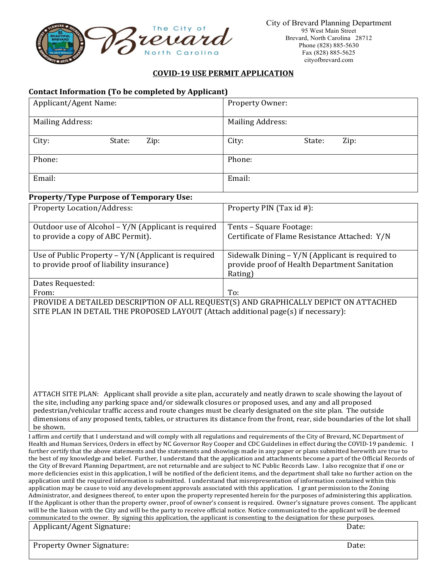

## **COVID‐19 USE PERMIT APPLICATION**

## **Contact Information (To be completed by Applicant)**

| Applicant/Agent Name:                                                                            | Property Owner:                                                                                             |  |
|--------------------------------------------------------------------------------------------------|-------------------------------------------------------------------------------------------------------------|--|
| <b>Mailing Address:</b>                                                                          | <b>Mailing Address:</b>                                                                                     |  |
| City:<br>Zip:<br>State:                                                                          | City:<br>State:<br>Zip:                                                                                     |  |
| Phone:                                                                                           | Phone:                                                                                                      |  |
| Email:                                                                                           | Email:                                                                                                      |  |
| <b>Property/Type Purpose of Temporary Use:</b>                                                   |                                                                                                             |  |
| <b>Property Location/Address:</b>                                                                | Property PIN (Tax id #):                                                                                    |  |
| Outdoor use of Alcohol - Y/N (Applicant is required<br>to provide a copy of ABC Permit).         | Tents - Square Footage:<br>Certificate of Flame Resistance Attached: Y/N                                    |  |
| Use of Public Property $-Y/N$ (Applicant is required<br>to provide proof of liability insurance) | Sidewalk Dining - Y/N (Applicant is required to<br>provide proof of Health Department Sanitation<br>Rating) |  |
| Dates Requested:                                                                                 |                                                                                                             |  |
| From:                                                                                            | To:                                                                                                         |  |
| PROVIDE A DETAILED DESCRIPTION OF ALL REQUEST(S) AND GRAPHICALLY DEPICT ON ATTACHED              |                                                                                                             |  |

SITE PLAN IN DETAIL THE PROPOSED LAYOUT (Attach additional page(s) if necessary):

ATTACH SITE PLAN: Applicant shall provide a site plan, accurately and neatly drawn to scale showing the layout of the site, including any parking space and/or sidewalk closures or proposed uses, and any and all proposed pedestrian/vehicular traffic access and route changes must be clearly designated on the site plan. The outside dimensions of any proposed tents, tables, or structures its distance from the front, rear, side boundaries of the lot shall be shown.

I affirm and certify that I understand and will comply with all regulations and requirements of the City of Brevard, NC Department of Health and Human Services, Orders in effect by NC Governor Roy Cooper and CDC Guidelines in effect during the COVID-19 pandemic. I further certify that the above statements and the statements and showings made in any paper or plans submitted herewith are true to the best of my knowledge and belief. Further, I understand that the application and attachments become a part of the Official Records of the City of Brevard Planning Department, are not returnable and are subject to NC Public Records Law. I also recognize that if one or more deficiencies exist in this application, I will be notified of the deficient items, and the department shall take no further action on the application until the required information is submitted. I understand that misrepresentation of information contained within this application may be cause to void any development approvals associated with this application. I grant permission to the Zoning Administrator, and designees thereof, to enter upon the property represented herein for the purposes of administering this application. If the Applicant is other than the property owner, proof of owner's consent is required. Owner's signature proves consent. The applicant will be the liaison with the City and will be the party to receive official notice. Notice communicated to the applicant will be deemed communicated to the owner. By signing this application, the applicant is consenting to the designation for these purposes.

| Applicant/Agent Signature:       | Date: |
|----------------------------------|-------|
| <b>Property Owner Signature:</b> | Date: |